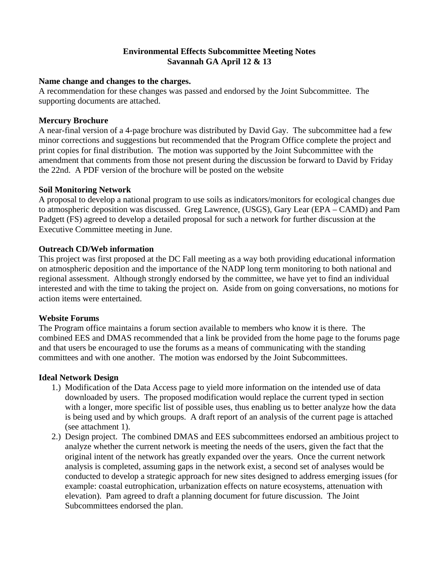### **Environmental Effects Subcommittee Meeting Notes Savannah GA April 12 & 13**

#### **Name change and changes to the charges.**

A recommendation for these changes was passed and endorsed by the Joint Subcommittee. The supporting documents are attached.

#### **Mercury Brochure**

A near-final version of a 4-page brochure was distributed by David Gay. The subcommittee had a few minor corrections and suggestions but recommended that the Program Office complete the project and print copies for final distribution. The motion was supported by the Joint Subcommittee with the amendment that comments from those not present during the discussion be forward to David by Friday the 22nd. A PDF version of the brochure will be posted on the website

### **Soil Monitoring Network**

A proposal to develop a national program to use soils as indicators/monitors for ecological changes due to atmospheric deposition was discussed. Greg Lawrence, (USGS), Gary Lear (EPA – CAMD) and Pam Padgett (FS) agreed to develop a detailed proposal for such a network for further discussion at the Executive Committee meeting in June.

### **Outreach CD/Web information**

This project was first proposed at the DC Fall meeting as a way both providing educational information on atmospheric deposition and the importance of the NADP long term monitoring to both national and regional assessment. Although strongly endorsed by the committee, we have yet to find an individual interested and with the time to taking the project on. Aside from on going conversations, no motions for action items were entertained.

# **Website Forums**

The Program office maintains a forum section available to members who know it is there. The combined EES and DMAS recommended that a link be provided from the home page to the forums page and that users be encouraged to use the forums as a means of communicating with the standing committees and with one another. The motion was endorsed by the Joint Subcommittees.

# **Ideal Network Design**

- 1.) Modification of the Data Access page to yield more information on the intended use of data downloaded by users. The proposed modification would replace the current typed in section with a longer, more specific list of possible uses, thus enabling us to better analyze how the data is being used and by which groups. A draft report of an analysis of the current page is attached (see attachment 1).
- 2.) Design project. The combined DMAS and EES subcommittees endorsed an ambitious project to analyze whether the current network is meeting the needs of the users, given the fact that the original intent of the network has greatly expanded over the years. Once the current network analysis is completed, assuming gaps in the network exist, a second set of analyses would be conducted to develop a strategic approach for new sites designed to address emerging issues (for example: coastal eutrophication, urbanization effects on nature ecosystems, attenuation with elevation). Pam agreed to draft a planning document for future discussion. The Joint Subcommittees endorsed the plan.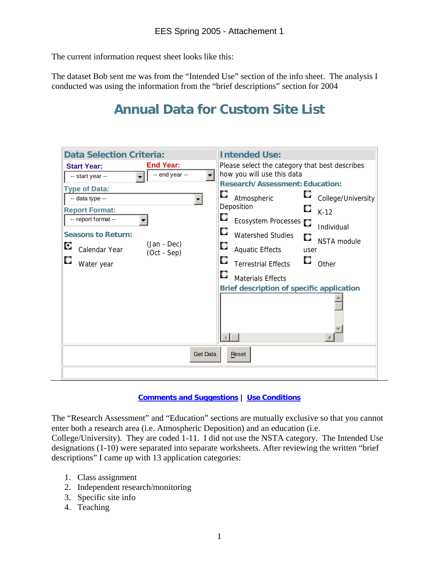The current information request sheet looks like this:

The dataset Bob sent me was from the "Intended Use" section of the info sheet. The analysis I conducted was using the information from the "brief descriptions" section for 2004

# **Annual Data for Custom Site List**

| <b>Data Selection Criteria:</b>                                                                                                                                                                                                                                             | <b>Intended Use:</b>                                                                                                                                                                                                                                                                                                                                                                                                                                                                                            |
|-----------------------------------------------------------------------------------------------------------------------------------------------------------------------------------------------------------------------------------------------------------------------------|-----------------------------------------------------------------------------------------------------------------------------------------------------------------------------------------------------------------------------------------------------------------------------------------------------------------------------------------------------------------------------------------------------------------------------------------------------------------------------------------------------------------|
| <b>End Year:</b><br><b>Start Year:</b><br>-- end year --<br>-- start year --<br><b>Type of Data:</b><br>-- data type --<br><b>Report Format:</b><br>-- report format --<br><b>Seasons to Return:</b><br>(Jan - Dec)<br>О<br>Calendar Year<br>(Oct - Sep)<br>Q<br>Water year | Please select the category that best describes<br>how you will use this data<br>$\blacksquare$<br><b>Research/Assessment: Education:</b><br>О<br>College/University<br>Atmospheric<br>$\blacksquare$<br>Deposition<br>О<br>$K-12$<br>О<br>Ecosystem Processes<br>Individual<br>О<br><b>Watershed Studies</b><br>O<br><b>NSTA</b> module<br>О<br><b>Aquatic Effects</b><br>user<br>О<br>Other<br><b>Terrestrial Effects</b><br>О<br><b>Materials Effects</b><br><b>Brief description of specific application</b> |
|                                                                                                                                                                                                                                                                             | <b>Get Data</b><br>Reset                                                                                                                                                                                                                                                                                                                                                                                                                                                                                        |
|                                                                                                                                                                                                                                                                             |                                                                                                                                                                                                                                                                                                                                                                                                                                                                                                                 |

#### **Comments and Suggestions | Use Conditions**

The "Research Assessment" and "Education" sections are mutually exclusive so that you cannot enter both a research area (i.e. Atmospheric Deposition) and an education (i.e.

College/University). They are coded 1-11. I did not use the NSTA category. The Intended Use designations (1-10) were separated into separate worksheets. After reviewing the written "brief descriptions" I came up with 13 application categories:

- 1. Class assignment
- 2. Independent research/monitoring
- 3. Specific site info
- 4. Teaching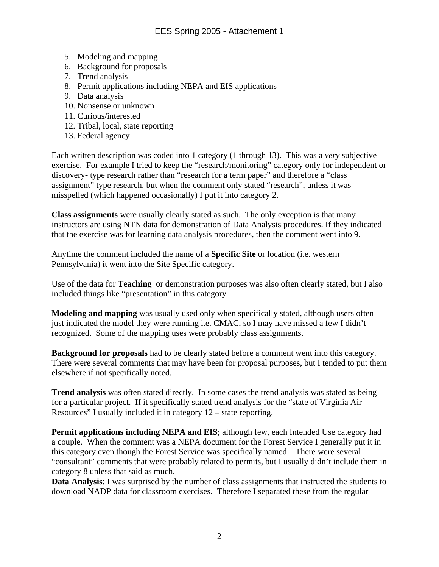- 5. Modeling and mapping
- 6. Background for proposals
- 7. Trend analysis
- 8. Permit applications including NEPA and EIS applications
- 9. Data analysis
- 10. Nonsense or unknown
- 11. Curious/interested
- 12. Tribal, local, state reporting
- 13. Federal agency

Each written description was coded into 1 category (1 through 13). This was a *very* subjective exercise. For example I tried to keep the "research/monitoring" category only for independent or discovery- type research rather than "research for a term paper" and therefore a "class assignment" type research, but when the comment only stated "research", unless it was misspelled (which happened occasionally) I put it into category 2.

**Class assignments** were usually clearly stated as such. The only exception is that many instructors are using NTN data for demonstration of Data Analysis procedures. If they indicated that the exercise was for learning data analysis procedures, then the comment went into 9.

Anytime the comment included the name of a **Specific Site** or location (i.e. western Pennsylvania) it went into the Site Specific category.

Use of the data for **Teaching** or demonstration purposes was also often clearly stated, but I also included things like "presentation" in this category

**Modeling and mapping** was usually used only when specifically stated, although users often just indicated the model they were running i.e. CMAC, so I may have missed a few I didn't recognized. Some of the mapping uses were probably class assignments.

**Background for proposals** had to be clearly stated before a comment went into this category. There were several comments that may have been for proposal purposes, but I tended to put them elsewhere if not specifically noted.

**Trend analysis** was often stated directly. In some cases the trend analysis was stated as being for a particular project. If it specifically stated trend analysis for the "state of Virginia Air Resources" I usually included it in category 12 – state reporting.

**Permit applications including NEPA and EIS**; although few, each Intended Use category had a couple. When the comment was a NEPA document for the Forest Service I generally put it in this category even though the Forest Service was specifically named. There were several "consultant" comments that were probably related to permits, but I usually didn't include them in category 8 unless that said as much.

**Data Analysis**: I was surprised by the number of class assignments that instructed the students to download NADP data for classroom exercises. Therefore I separated these from the regular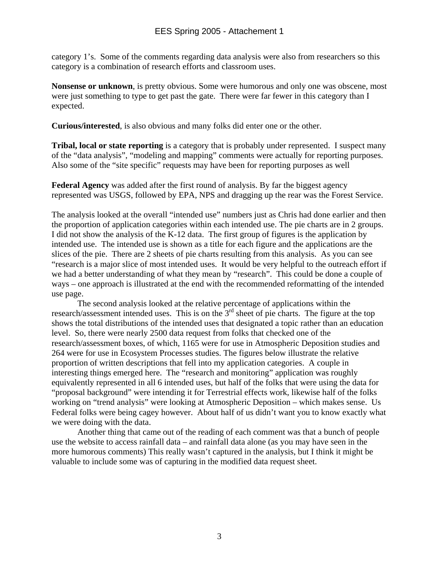category 1's. Some of the comments regarding data analysis were also from researchers so this category is a combination of research efforts and classroom uses.

**Nonsense or unknown**, is pretty obvious. Some were humorous and only one was obscene, most were just something to type to get past the gate. There were far fewer in this category than I expected.

**Curious/interested**, is also obvious and many folks did enter one or the other.

**Tribal, local or state reporting** is a category that is probably under represented. I suspect many of the "data analysis", "modeling and mapping" comments were actually for reporting purposes. Also some of the "site specific" requests may have been for reporting purposes as well

**Federal Agency** was added after the first round of analysis. By far the biggest agency represented was USGS, followed by EPA, NPS and dragging up the rear was the Forest Service.

The analysis looked at the overall "intended use" numbers just as Chris had done earlier and then the proportion of application categories within each intended use. The pie charts are in 2 groups. I did not show the analysis of the K-12 data. The first group of figures is the application by intended use. The intended use is shown as a title for each figure and the applications are the slices of the pie. There are 2 sheets of pie charts resulting from this analysis. As you can see "research is a major slice of most intended uses. It would be very helpful to the outreach effort if we had a better understanding of what they mean by "research". This could be done a couple of ways – one approach is illustrated at the end with the recommended reformatting of the intended use page.

The second analysis looked at the relative percentage of applications within the research/assessment intended uses. This is on the  $3<sup>rd</sup>$  sheet of pie charts. The figure at the top shows the total distributions of the intended uses that designated a topic rather than an education level. So, there were nearly 2500 data request from folks that checked one of the research/assessment boxes, of which, 1165 were for use in Atmospheric Deposition studies and 264 were for use in Ecosystem Processes studies. The figures below illustrate the relative proportion of written descriptions that fell into my application categories. A couple in interesting things emerged here. The "research and monitoring" application was roughly equivalently represented in all 6 intended uses, but half of the folks that were using the data for "proposal background" were intending it for Terrestrial effects work, likewise half of the folks working on "trend analysis" were looking at Atmospheric Deposition – which makes sense. Us Federal folks were being cagey however. About half of us didn't want you to know exactly what we were doing with the data.

Another thing that came out of the reading of each comment was that a bunch of people use the website to access rainfall data – and rainfall data alone (as you may have seen in the more humorous comments) This really wasn't captured in the analysis, but I think it might be valuable to include some was of capturing in the modified data request sheet.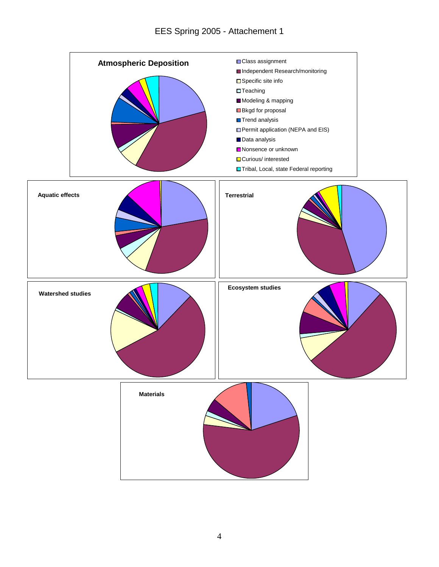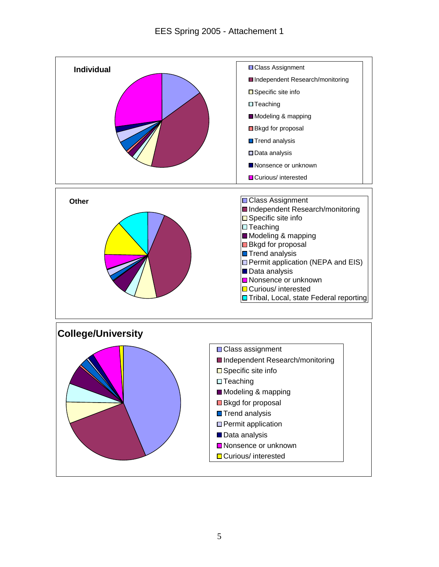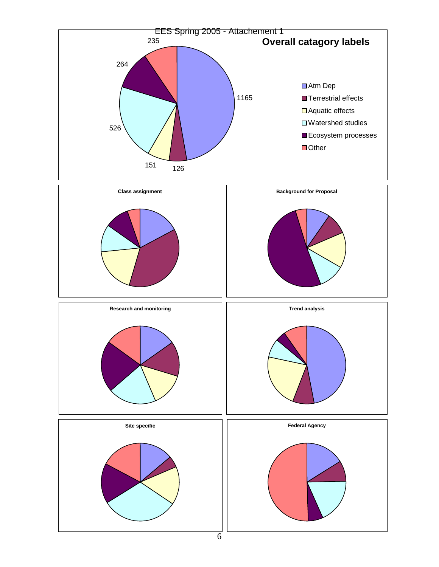